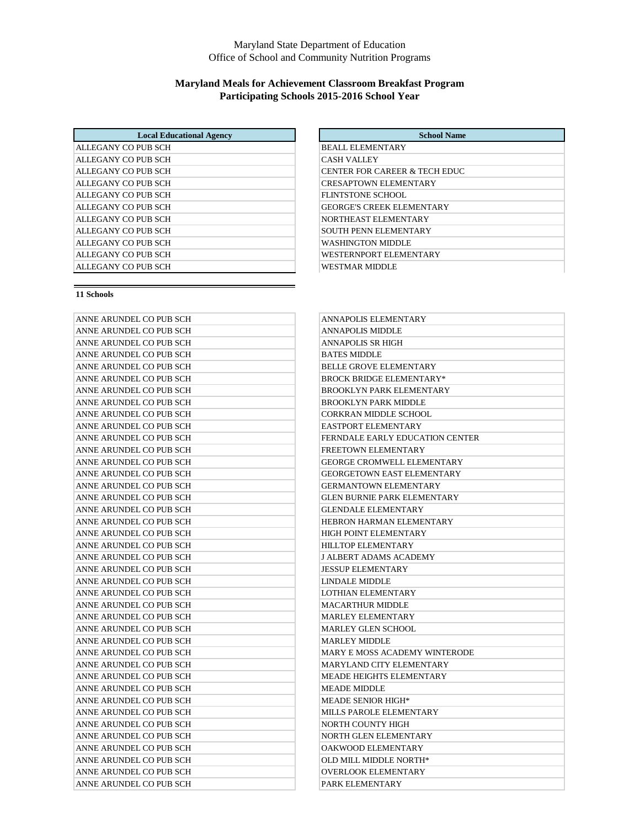### Maryland State Department of Education Office of School and Community Nutrition Programs

## **Maryland Meals for Achievement Classroom Breakfast Program Participating Schools 2015-2016 School Year**

| <b>Local Educational Agency</b> | <b>School Name</b>               |
|---------------------------------|----------------------------------|
| ALLEGANY CO PUB SCH             | <b>BEALL ELEMENTARY</b>          |
| ALLEGANY CO PUB SCH             | <b>CASH VALLEY</b>               |
| ALLEGANY CO PUB SCH             | CENTER FOR CAREER & TECH EDUC    |
| ALLEGANY CO PUB SCH             | <b>CRESAPTOWN ELEMENTARY</b>     |
| ALLEGANY CO PUB SCH             | FLINTSTONE SCHOOL                |
| ALLEGANY CO PUB SCH             | <b>GEORGE'S CREEK ELEMENTARY</b> |
| ALLEGANY CO PUB SCH             | NORTHEAST ELEMENTARY             |
| ALLEGANY CO PUB SCH             | <b>SOUTH PENN ELEMENTARY</b>     |
| ALLEGANY CO PUB SCH             | WASHINGTON MIDDLE                |
| ALLEGANY CO PUB SCH             | WESTERNPORT ELEMENTARY           |
| ALLEGANY CO PUB SCH             | <b>WESTMAR MIDDLE</b>            |

| ANNE ARUNDEL CO PUB SCH | ANNAPOLIS ELEMENTARY                   |
|-------------------------|----------------------------------------|
| ANNE ARUNDEL CO PUB SCH | <b>ANNAPOLIS MIDDLE</b>                |
| ANNE ARUNDEL CO PUB SCH | <b>ANNAPOLIS SR HIGH</b>               |
| ANNE ARUNDEL CO PUB SCH | <b>BATES MIDDLE</b>                    |
| ANNE ARUNDEL CO PUB SCH | <b>BELLE GROVE ELEMENTARY</b>          |
| ANNE ARUNDEL CO PUB SCH | <b>BROCK BRIDGE ELEMENTARY*</b>        |
| ANNE ARUNDEL CO PUB SCH | <b>BROOKLYN PARK ELEMENTARY</b>        |
| ANNE ARUNDEL CO PUB SCH | <b>BROOKLYN PARK MIDDLE</b>            |
| ANNE ARUNDEL CO PUB SCH | <b>CORKRAN MIDDLE SCHOOL</b>           |
| ANNE ARUNDEL CO PUB SCH | <b>EASTPORT ELEMENTARY</b>             |
| ANNE ARUNDEL CO PUB SCH | <b>FERNDALE EARLY EDUCATION CENTER</b> |
| ANNE ARUNDEL CO PUB SCH | FREETOWN ELEMENTARY                    |
| ANNE ARUNDEL CO PUB SCH | <b>GEORGE CROMWELL ELEMENTARY</b>      |
| ANNE ARUNDEL CO PUB SCH | <b>GEORGETOWN EAST ELEMENTARY</b>      |
| ANNE ARUNDEL CO PUB SCH | <b>GERMANTOWN ELEMENTARY</b>           |
| ANNE ARUNDEL CO PUB SCH | <b>GLEN BURNIE PARK ELEMENTARY</b>     |
| ANNE ARUNDEL CO PUB SCH | <b>GLENDALE ELEMENTARY</b>             |
| ANNE ARUNDEL CO PUB SCH | HEBRON HARMAN ELEMENTARY               |
| ANNE ARUNDEL CO PUB SCH | <b>HIGH POINT ELEMENTARY</b>           |
| ANNE ARUNDEL CO PUB SCH | <b>HILLTOP ELEMENTARY</b>              |
| ANNE ARUNDEL CO PUB SCH | <b>J ALBERT ADAMS ACADEMY</b>          |
| ANNE ARUNDEL CO PUB SCH | <b>JESSUP ELEMENTARY</b>               |
| ANNE ARUNDEL CO PUB SCH | <b>LINDALE MIDDLE</b>                  |
| ANNE ARUNDEL CO PUB SCH | <b>LOTHIAN ELEMENTARY</b>              |
| ANNE ARUNDEL CO PUB SCH | <b>MACARTHUR MIDDLE</b>                |
| ANNE ARUNDEL CO PUB SCH | <b>MARLEY ELEMENTARY</b>               |
| ANNE ARUNDEL CO PUB SCH | <b>MARLEY GLEN SCHOOL</b>              |
| ANNE ARUNDEL CO PUB SCH | <b>MARLEY MIDDLE</b>                   |
| ANNE ARUNDEL CO PUB SCH | MARY E MOSS ACADEMY WINTERODE          |
| ANNE ARUNDEL CO PUB SCH | MARYLAND CITY ELEMENTARY               |
| ANNE ARUNDEL CO PUB SCH | <b>MEADE HEIGHTS ELEMENTARY</b>        |
| ANNE ARUNDEL CO PUB SCH | <b>MEADE MIDDLE</b>                    |
| ANNE ARUNDEL CO PUB SCH | <b>MEADE SENIOR HIGH*</b>              |
| ANNE ARUNDEL CO PUB SCH | MILLS PAROLE ELEMENTARY                |
| ANNE ARUNDEL CO PUB SCH | NORTH COUNTY HIGH                      |
| ANNE ARUNDEL CO PUB SCH | NORTH GLEN ELEMENTARY                  |
| ANNE ARUNDEL CO PUB SCH | OAKWOOD ELEMENTARY                     |
| ANNE ARUNDEL CO PUB SCH | OLD MILL MIDDLE NORTH*                 |
| ANNE ARUNDEL CO PUB SCH | <b>OVERLOOK ELEMENTARY</b>             |
| ANNE ARUNDEL CO PUB SCH | PARK ELEMENTARY                        |

| <b>School Name</b>               |
|----------------------------------|
| <b>BEALL ELEMENTARY</b>          |
| <b>CASH VALLEY</b>               |
| CENTER FOR CAREER & TECH EDUC    |
| <b>CRESAPTOWN ELEMENTARY</b>     |
| FLINTSTONE SCHOOL                |
| <b>GEORGE'S CREEK ELEMENTARY</b> |
| NORTHEAST ELEMENTARY             |
| <b>SOUTH PENN ELEMENTARY</b>     |
| WASHINGTON MIDDLE                |
| WESTERNPORT ELEMENTARY           |
| WESTMAR MIDDLE                   |

| ANNAPOLIS ELEMENTARY               |
|------------------------------------|
| ANNAPOLIS MIDDLE                   |
| ANNAPOLIS SR HIGH                  |
| <b>BATES MIDDLE</b>                |
| <b>BELLE GROVE ELEMENTARY</b>      |
| BROCK BRIDGE ELEMENTARY*           |
| <b>BROOKLYN PARK ELEMENTARY</b>    |
| <b>BROOKLYN PARK MIDDLE</b>        |
| CORKRAN MIDDLE SCHOOL              |
| <b>EASTPORT ELEMENTARY</b>         |
| FERNDALE EARLY EDUCATION CENTER    |
| <b>FREETOWN ELEMENTARY</b>         |
| GEORGE CROMWELL ELEMENTARY         |
| GEORGETOWN EAST ELEMENTARY         |
| GERMANTOWN ELEMENTARY              |
| <b>GLEN BURNIE PARK ELEMENTARY</b> |
| GLENDALE ELEMENTARY                |
| HEBRON HARMAN ELEMENTARY           |
| HIGH POINT ELEMENTARY              |
| HILLTOP ELEMENTARY                 |
| J ALBERT ADAMS ACADEMY             |
| <b>JESSUP ELEMENTARY</b>           |
| LINDALE MIDDLE                     |
| LOTHIAN ELEMENTARY                 |
| <b>MACARTHUR MIDDLE</b>            |
| <b>MARLEY ELEMENTARY</b>           |
| MARLEY GLEN SCHOOL                 |
| <b>MARLEY MIDDLE</b>               |
| MARY E MOSS ACADEMY WINTERODE      |
| MARYLAND CITY ELEMENTARY           |
| <b>MEADE HEIGHTS ELEMENTARY</b>    |
| MEADE MIDDLE                       |
| MEADE SENIOR HIGH*                 |
| <b>MILLS PAROLE ELEMENTARY</b>     |
| NORTH COUNTY HIGH                  |
| NORTH GLEN ELEMENTARY              |
| OAKWOOD ELEMENTARY                 |
| OLD MILL MIDDLE NORTH*             |
| <b>OVERLOOK ELEMENTARY</b>         |
| PARK ELEMENTARY                    |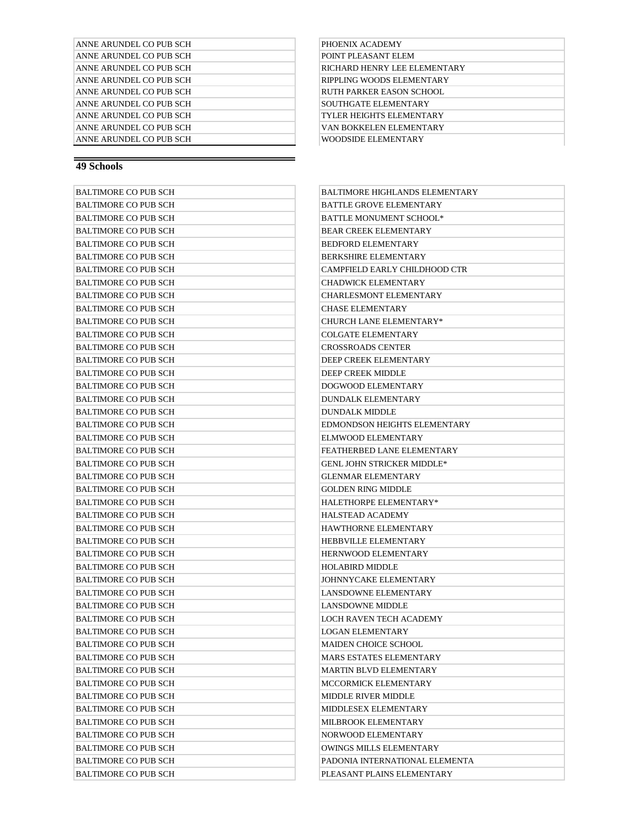| ANNE ARUNDEL CO PUB SCH |
|-------------------------|
| ANNE ARUNDEL CO PUB SCH |
| ANNE ARUNDEL CO PUB SCH |
| ANNE ARUNDEL CO PUB SCH |
| ANNE ARUNDEL CO PUB SCH |
| ANNE ARUNDEL CO PUR SCH |
| ANNE ARUNDEL CO PUB SCH |
| ANNE ARUNDEL CO PUB SCH |
| ANNE ARUNDEL CO PUB SCH |

#### PHOENIX ACADEMY POINT PLEASANT ELEM RICHARD HENRY LEE ELEMENTARY RIPPLING WOODS ELEMENTARY RUTH PARKER EASON SCHOOL SOUTHGATE ELEMENTARY TYLER HEIGHTS ELEMENTARY VAN BOKKELEN ELEMENTARY WOODSIDE ELEMENTARY

#### **49 Schools**

| <b>BALTIMORE CO PUB SCH</b> | BALTIMORE HIGHLANDS ELEMENTARY    |
|-----------------------------|-----------------------------------|
| <b>BALTIMORE CO PUB SCH</b> | <b>BATTLE GROVE ELEMENTARY</b>    |
| <b>BALTIMORE CO PUB SCH</b> | <b>BATTLE MONUMENT SCHOOL*</b>    |
| <b>BALTIMORE CO PUB SCH</b> | <b>BEAR CREEK ELEMENTARY</b>      |
| <b>BALTIMORE CO PUB SCH</b> | <b>BEDFORD ELEMENTARY</b>         |
| <b>BALTIMORE CO PUB SCH</b> | <b>BERKSHIRE ELEMENTARY</b>       |
| <b>BALTIMORE CO PUB SCH</b> | CAMPFIELD EARLY CHILDHOOD CTR     |
| BALTIMORE CO PUB SCH        | <b>CHADWICK ELEMENTARY</b>        |
| <b>BALTIMORE CO PUB SCH</b> | <b>CHARLESMONT ELEMENTARY</b>     |
| <b>BALTIMORE CO PUB SCH</b> | <b>CHASE ELEMENTARY</b>           |
| <b>BALTIMORE CO PUB SCH</b> | <b>CHURCH LANE ELEMENTARY*</b>    |
| <b>BALTIMORE CO PUB SCH</b> | <b>COLGATE ELEMENTARY</b>         |
| <b>BALTIMORE CO PUB SCH</b> | <b>CROSSROADS CENTER</b>          |
| <b>BALTIMORE CO PUB SCH</b> | DEEP CREEK ELEMENTARY             |
| <b>BALTIMORE CO PUB SCH</b> | DEEP CREEK MIDDLE                 |
| <b>BALTIMORE CO PUB SCH</b> | DOGWOOD ELEMENTARY                |
| <b>BALTIMORE CO PUB SCH</b> | <b>DUNDALK ELEMENTARY</b>         |
| <b>BALTIMORE CO PUB SCH</b> | <b>DUNDALK MIDDLE</b>             |
| <b>BALTIMORE CO PUB SCH</b> | EDMONDSON HEIGHTS ELEMENTARY      |
| BALTIMORE CO PUB SCH        | ELMWOOD ELEMENTARY                |
| <b>BALTIMORE CO PUB SCH</b> | FEATHERBED LANE ELEMENTARY        |
| <b>BALTIMORE CO PUB SCH</b> | <b>GENL JOHN STRICKER MIDDLE*</b> |
| <b>BALTIMORE CO PUB SCH</b> | <b>GLENMAR ELEMENTARY</b>         |
| <b>BALTIMORE CO PUB SCH</b> | <b>GOLDEN RING MIDDLE</b>         |
| <b>BALTIMORE CO PUB SCH</b> | HALETHORPE ELEMENTARY*            |
| <b>BALTIMORE CO PUB SCH</b> | <b>HALSTEAD ACADEMY</b>           |
| <b>BALTIMORE CO PUB SCH</b> | HAWTHORNE ELEMENTARY              |
| <b>BALTIMORE CO PUB SCH</b> | HEBBVILLE ELEMENTARY              |
| <b>BALTIMORE CO PUB SCH</b> | <b>HERNWOOD ELEMENTARY</b>        |
| <b>BALTIMORE CO PUB SCH</b> | <b>HOLABIRD MIDDLE</b>            |
| <b>BALTIMORE CO PUB SCH</b> | JOHNNYCAKE ELEMENTARY             |
| <b>BALTIMORE CO PUB SCH</b> | <b>LANSDOWNE ELEMENTARY</b>       |
| <b>BALTIMORE CO PUB SCH</b> | <b>LANSDOWNE MIDDLE</b>           |
| <b>BALTIMORE CO PUB SCH</b> | LOCH RAVEN TECH ACADEMY           |
| BALTIMORE CO PUB SCH        | <b>LOGAN ELEMENTARY</b>           |
| BALTIMORE CO PUB SCH        | MAIDEN CHOICE SCHOOL              |
| BALTIMORE CO PUB SCH        | MARS ESTATES ELEMENTARY           |
| BALTIMORE CO PUB SCH        | MARTIN BLVD ELEMENTARY            |
| <b>BALTIMORE CO PUB SCH</b> | MCCORMICK ELEMENTARY              |
| <b>BALTIMORE CO PUB SCH</b> | <b>MIDDLE RIVER MIDDLE</b>        |
| <b>BALTIMORE CO PUB SCH</b> | MIDDLESEX ELEMENTARY              |
| <b>BALTIMORE CO PUB SCH</b> | MILBROOK ELEMENTARY               |
| <b>BALTIMORE CO PUB SCH</b> | NORWOOD ELEMENTARY                |
| <b>BALTIMORE CO PUB SCH</b> | <b>OWINGS MILLS ELEMENTARY</b>    |
| <b>BALTIMORE CO PUB SCH</b> | PADONIA INTERNATIONAL ELEMENTA    |
| <b>BALTIMORE CO PUB SCH</b> | PLEASANT PLAINS ELEMENTARY        |
|                             |                                   |

| BALTIMORE HIGHLANDS ELEMENTARY    |
|-----------------------------------|
| BATTLE GROVE ELEMENTARY           |
| <b>BATTLE MONUMENT SCHOOL*</b>    |
| <b>BEAR CREEK ELEMENTARY</b>      |
| <b>BEDFORD ELEMENTARY</b>         |
| <b>BERKSHIRE ELEMENTARY</b>       |
| CAMPFIELD EARLY CHILDHOOD CTR     |
| <b>CHADWICK ELEMENTARY</b>        |
| <b>CHARLESMONT ELEMENTARY</b>     |
| <b>CHASE ELEMENTARY</b>           |
| <b>CHURCH LANE ELEMENTARY*</b>    |
| <b>COLGATE ELEMENTARY</b>         |
| <b>CROSSROADS CENTER</b>          |
| DEEP CREEK ELEMENTARY             |
| <b>DEEP CREEK MIDDLE</b>          |
| DOGWOOD ELEMENTARY                |
| <b>DUNDALK ELEMENTARY</b>         |
| DUNDALK MIDDLE                    |
| EDMONDSON HEIGHTS ELEMENTARY      |
| <b>ELMWOOD ELEMENTARY</b>         |
| FEATHERBED LANE ELEMENTARY        |
| <b>GENL JOHN STRICKER MIDDLE*</b> |
| <b>GLENMAR ELEMENTARY</b>         |
| <b>GOLDEN RING MIDDLE</b>         |
| <b>HALETHORPE ELEMENTARY*</b>     |
| <b>HALSTEAD ACADEMY</b>           |
| <b>HAWTHORNE ELEMENTARY</b>       |
| <b>HEBBVILLE ELEMENTARY</b>       |
| <b>HERNWOOD ELEMENTARY</b>        |
| <b>HOLABIRD MIDDLE</b>            |
| JOHNNYCAKE ELEMENTARY             |
| LANSDOWNE ELEMENTARY              |
| LANSDOWNE MIDDLE                  |
| LOCH RAVEN TECH ACADEMY           |
| <b>LOGAN ELEMENTARY</b>           |
| MAIDEN CHOICE SCHOOL              |
| <b>MARS ESTATES ELEMENTARY</b>    |
| MARTIN BLVD ELEMENTARY            |
| MCCORMICK ELEMENTARY              |
| <b>MIDDLE RIVER MIDDLE</b>        |
| MIDDLESEX ELEMENTARY              |
| MILBROOK ELEMENTARY               |
| NORWOOD ELEMENTARY                |
| OWINGS MILLS ELEMENTARY           |
| PADONIA INTERNATIONAL ELEMENTA    |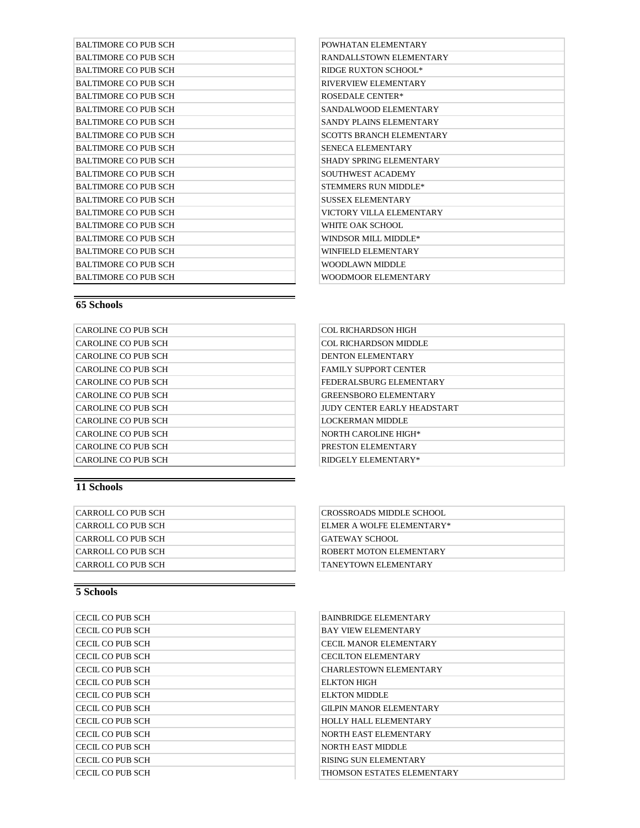| <b>BALTIMORE CO PUB SCH</b> | POWHATAN ELEMENTARY             |
|-----------------------------|---------------------------------|
| <b>BALTIMORE CO PUB SCH</b> | RANDALLSTOWN ELEMENTARY         |
| <b>BALTIMORE CO PUB SCH</b> | <b>RIDGE RUXTON SCHOOL*</b>     |
| <b>BALTIMORE CO PUB SCH</b> | RIVERVIEW ELEMENTARY            |
| <b>BALTIMORE CO PUB SCH</b> | <b>ROSEDALE CENTER*</b>         |
| <b>BALTIMORE CO PUB SCH</b> | SANDALWOOD ELEMENTARY           |
| <b>BALTIMORE CO PUB SCH</b> | SANDY PLAINS ELEMENTARY         |
| <b>BALTIMORE CO PUB SCH</b> | <b>SCOTTS BRANCH ELEMENTARY</b> |
| BALTIMORE CO PUB SCH        | <b>SENECA ELEMENTARY</b>        |
| <b>BALTIMORE CO PUB SCH</b> | <b>SHADY SPRING ELEMENTARY</b>  |
| <b>BALTIMORE CO PUB SCH</b> | <b>SOUTHWEST ACADEMY</b>        |
| <b>BALTIMORE CO PUB SCH</b> | STEMMERS RUN MIDDLE*            |
| <b>BALTIMORE CO PUB SCH</b> | <b>SUSSEX ELEMENTARY</b>        |
| <b>BALTIMORE CO PUB SCH</b> | VICTORY VILLA ELEMENTARY        |
| <b>BALTIMORE CO PUB SCH</b> | WHITE OAK SCHOOL                |
| <b>BALTIMORE CO PUB SCH</b> | WINDSOR MILL MIDDLE*            |
| <b>BALTIMORE CO PUB SCH</b> | <b>WINFIELD ELEMENTARY</b>      |
| <b>BALTIMORE CO PUB SCH</b> | <b>WOODLAWN MIDDLE</b>          |
| <b>BALTIMORE CO PUB SCH</b> | <b>WOODMOOR ELEMENTARY</b>      |
|                             |                                 |

| POWHATAN ELEMENTARY             |
|---------------------------------|
| RANDALLSTOWN ELEMENTARY         |
| <b>RIDGE RUXTON SCHOOL*</b>     |
| RIVERVIEW ELEMENTARY            |
| <b>ROSEDALE CENTER*</b>         |
| SANDALWOOD ELEMENTARY           |
| SANDY PLAINS ELEMENTARY         |
| <b>SCOTTS BRANCH ELEMENTARY</b> |
| <b>SENECA ELEMENTARY</b>        |
| <b>SHADY SPRING ELEMENTARY</b>  |
| SOUTHWEST ACADEMY               |
| STEMMERS RUN MIDDLE*            |
| <b>SUSSEX ELEMENTARY</b>        |
| VICTORY VILLA ELEMENTARY        |
| WHITE OAK SCHOOL                |
| WINDSOR MILL MIDDLE*            |
| WINFIELD ELEMENTARY             |
| WOODLAWN MIDDLE                 |
| <b>WOODMOOR ELEMENTARY</b>      |

| <b>CAROLINE CO PUB SCH</b> |  |
|----------------------------|--|
| CAROLINE CO PUB SCH        |  |
| CAROLINE CO PUB SCH        |  |
| CAROLINE CO PUB SCH        |  |
| CAROLINE CO PUB SCH        |  |
| CAROLINE CO PUB SCH        |  |
| CAROLINE CO PUB SCH        |  |
| CAROLINE CO PUB SCH        |  |
| CAROLINE CO PUB SCH        |  |
| CAROLINE CO PUB SCH        |  |
| CAROLINE CO PUB SCH        |  |

## COL RICHARDSON HIGH COL RICHARDSON MIDDLE DENTON ELEMENTARY FAMILY SUPPORT CENTER FEDERALSBURG ELEMENTARY GREENSBORO ELEMENTARY JUDY CENTER EARLY HEADSTART LOCKERMAN MIDDLE NORTH CAROLINE HIGH\* PRESTON ELEMENTARY  $\mathsf{RIDGELY}$ ELEMENTARY\*

#### **11 Schools**

| CARROLL CO PUB SCH | <b>CROSSROADS MIDDLE SCHOOL</b> |
|--------------------|---------------------------------|
| CARROLL CO PUB SCH | ELMER A WOLFE ELEMENTARY*       |
| CARROLL CO PUB SCH | <b>GATEWAY SCHOOL</b>           |
| CARROLL CO PUB SCH | <b>ROBERT MOTON ELEMENTARY</b>  |
| CARROLL CO PUB SCH | <b>TANEYTOWN ELEMENTARY</b>     |

| ICECIL CO PUB SCH | <b>BAINBRIDGE ELEMENTARY</b>   |
|-------------------|--------------------------------|
| CECIL CO PUB SCH  | <b>BAY VIEW ELEMENTARY</b>     |
| ICECIL CO PUB SCH | <b>CECIL MANOR ELEMENTARY</b>  |
| CECIL CO PUB SCH  | <b>CECILTON ELEMENTARY</b>     |
| CECIL CO PUB SCH  | <b>CHARLESTOWN ELEMENTARY</b>  |
| CECIL CO PUB SCH  | ELKTON HIGH                    |
| CECIL CO PUB SCH  | <b>ELKTON MIDDLE</b>           |
| CECIL CO PUB SCH  | <b>GILPIN MANOR ELEMENTARY</b> |
| CECIL CO PUB SCH  | <b>HOLLY HALL ELEMENTARY</b>   |
| ICECIL CO PUB SCH | NORTH EAST ELEMENTARY          |
| CECIL CO PUB SCH  | <b>NORTH EAST MIDDLE</b>       |
| CECIL CO PUB SCH  | RISING SUN ELEMENTARY          |
| ICECIL CO PUB SCH | THOMSON ESTATES ELEMENTARY     |

| CROSSROADS MIDDLE SCHOOL  |
|---------------------------|
| ELMER A WOLFE ELEMENTARY* |
| GATEWAY SCHOOL            |
| ROBERT MOTON ELEMENTARY   |
| TANEYTOWN ELEMENTARY      |
|                           |

| BAINBRIDGE ELEMENTARY          |
|--------------------------------|
| <b>BAY VIEW ELEMENTARY</b>     |
| <b>CECIL MANOR ELEMENTARY</b>  |
| <b>CECILTON ELEMENTARY</b>     |
| <b>CHARLESTOWN ELEMENTARY</b>  |
| ELKTON HIGH                    |
| ELKTON MIDDLE                  |
| <b>GILPIN MANOR ELEMENTARY</b> |
| <b>HOLLY HALL ELEMENTARY</b>   |
| NORTH EAST ELEMENTARY          |
| NORTH EAST MIDDLE              |
| RISING SUN ELEMENTARY          |
| THOMSON ESTATES ELEMENTARY     |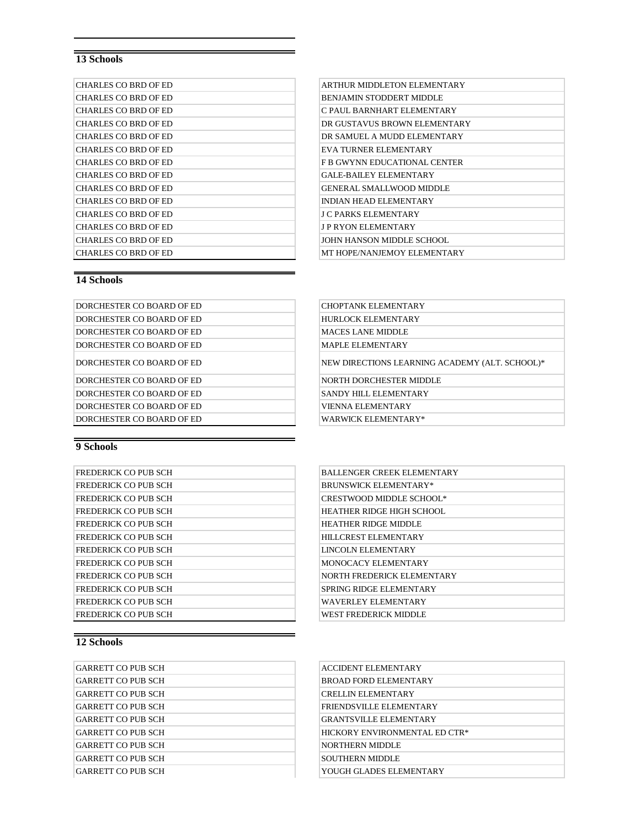| CHARLES CO BRD OF ED        | ARTHUR MIDDLETON ELEMENTARY     |
|-----------------------------|---------------------------------|
| <b>CHARLES CO BRD OF ED</b> | <b>BENJAMIN STODDERT MIDDLE</b> |
| <b>CHARLES CO BRD OF ED</b> | C PAUL BARNHART ELEMENTARY      |
| CHARLES CO BRD OF ED        | DR GUSTAVUS BROWN ELEMENTARY    |
| CHARLES CO BRD OF ED        | DR SAMUEL A MUDD ELEMENTARY     |
| <b>CHARLES CO BRD OF ED</b> | EVA TURNER ELEMENTARY           |
| CHARLES CO BRD OF ED        | F B GWYNN EDUCATIONAL CENTER    |
| <b>CHARLES CO BRD OF ED</b> | <b>GALE-BAILEY ELEMENTARY</b>   |
| <b>CHARLES CO BRD OF ED</b> | <b>GENERAL SMALLWOOD MIDDLE</b> |
| <b>CHARLES CO BRD OF ED</b> | <b>INDIAN HEAD ELEMENTARY</b>   |
| <b>CHARLES CO BRD OF ED</b> | J C PARKS ELEMENTARY            |
| <b>CHARLES CO BRD OF ED</b> | J P RYON ELEMENTARY             |
| CHARLES CO BRD OF ED        | JOHN HANSON MIDDLE SCHOOL.      |
| <b>CHARLES CO BRD OF ED</b> | MT HOPE/NANJEMOY ELEMENTARY     |

| ARTHUR MIDDLETON ELEMENTARY         |
|-------------------------------------|
| <b>BENJAMIN STODDERT MIDDLE</b>     |
| C PAUL BARNHART ELEMENTARY          |
| DR GUSTAVUS BROWN ELEMENTARY        |
| DR SAMUEL A MUDD ELEMENTARY         |
| <b>EVA TURNER ELEMENTARY</b>        |
| <b>F B GWYNN EDUCATIONAL CENTER</b> |
| <b>GALE-BAILEY ELEMENTARY</b>       |
| <b>GENERAL SMALLWOOD MIDDLE</b>     |
| <b>INDIAN HEAD ELEMENTARY</b>       |
| <b>J C PARKS ELEMENTARY</b>         |
| <b>J P RYON ELEMENTARY</b>          |
| JOHN HANSON MIDDLE SCHOOL           |
| MT HOPE/NANIEMOY EI EMENTARY        |

#### **14 Schools**

| DORCHESTER CO BOARD OF ED | <b>CHOPTANK ELEMENTARY</b> |
|---------------------------|----------------------------|
| DORCHESTER CO BOARD OF ED | HURLOCK ELEMENTARY         |
| DORCHESTER CO BOARD OF ED | <b>MACES LANE MIDDLE</b>   |
| DORCHESTER CO BOARD OF ED | <b>MAPLE ELEMENTARY</b>    |
| DORCHESTER CO BOARD OF ED | NEW DIRECTIONS LEARNING A  |
| DORCHESTER CO BOARD OF ED | NORTH DORCHESTER MIDDLE    |
| DORCHESTER CO BOARD OF ED | SANDY HILL ELEMENTARY      |
| DORCHESTER CO BOARD OF ED | <b>VIENNA ELEMENTARY</b>   |
| DORCHESTER CO BOARD OF ED | WARWICK ELEMENTARY*        |
|                           |                            |

| DORCHESTER CO BOARD OF ED | CHOPTANK ELEMENTARY                            |
|---------------------------|------------------------------------------------|
| DORCHESTER CO BOARD OF ED | HURLOCK ELEMENTARY                             |
| DORCHESTER CO BOARD OF ED | MACES LANE MIDDLE                              |
| DORCHESTER CO BOARD OF ED | MAPLE ELEMENTARY                               |
| DORCHESTER CO BOARD OF ED | NEW DIRECTIONS LEARNING ACADEMY (ALT. SCHOOL)* |
| DORCHESTER CO BOARD OF ED | NORTH DORCHESTER MIDDLE                        |
| DORCHESTER CO BOARD OF ED | SANDY HILL ELEMENTARY                          |
| DORCHESTER CO BOARD OF ED | <b>VIENNA ELEMENTARY</b>                       |

**9 Schools**

| <b>FREDERICK CO PUB SCH</b> |  |
|-----------------------------|--|
| <b>FREDERICK CO PUB SCH</b> |  |
| <b>FREDERICK CO PUB SCH</b> |  |
| FREDERICK CO PUB SCH        |  |
| <b>FREDERICK CO PUB SCH</b> |  |
| <b>FREDERICK CO PUB SCH</b> |  |
| <b>FREDERICK CO PUB SCH</b> |  |
| <b>FREDERICK CO PUB SCH</b> |  |
| <b>FREDERICK CO PUB SCH</b> |  |
| <b>FREDERICK CO PUB SCH</b> |  |
| <b>FREDERICK CO PUB SCH</b> |  |
| FREDERICK CO PUB SCH        |  |

## BALLENGER CREEK ELEMENTARY BRUNSWICK ELEMENTARY\*  $CRESTWOOD$  MIDDLE SCHOOL\* HEATHER RIDGE HIGH SCHOOL HEATHER RIDGE MIDDLE HILLCREST ELEMENTARY LINCOLN ELEMENTARY MONOCACY ELEMENTARY NORTH FREDERICK ELEMENTARY SPRING RIDGE ELEMENTARY WAVERLEY ELEMENTARY WEST FREDERICK MIDDLE

| GARRETT CO PUB SCH | <b>ACCIDENT ELEMENTARY</b>     |
|--------------------|--------------------------------|
| GARRETT CO PUB SCH | <b>BROAD FORD ELEMENTARY</b>   |
| GARRETT CO PUB SCH | <b>CRELLIN ELEMENTARY</b>      |
| GARRETT CO PUB SCH | <b>FRIENDSVILLE ELEMENTARY</b> |
| GARRETT CO PUB SCH | <b>GRANTSVILLE ELEMENTARY</b>  |
| GARRETT CO PUB SCH | HICKORY ENVIRONMENTAL ED CTR*  |
| GARRETT CO PUB SCH | <b>NORTHERN MIDDLE</b>         |
| GARRETT CO PUB SCH | <b>SOUTHERN MIDDLE</b>         |
| GARRETT CO PUB SCH | YOUGH GLADES ELEMENTARY        |
|                    |                                |

| ACCIDENT ELEMENTARY            |  |
|--------------------------------|--|
| BROAD FORD ELEMENTARY          |  |
| <b>CRELLIN ELEMENTARY</b>      |  |
| <b>FRIENDSVILLE ELEMENTARY</b> |  |
| <b>GRANTSVILLE ELEMENTARY</b>  |  |
| HICKORY ENVIRONMENTAL ED CTR*  |  |
| NORTHERN MIDDLE                |  |
| <b>SOUTHERN MIDDLE</b>         |  |
| YOUGH GLADES ELEMENTARY        |  |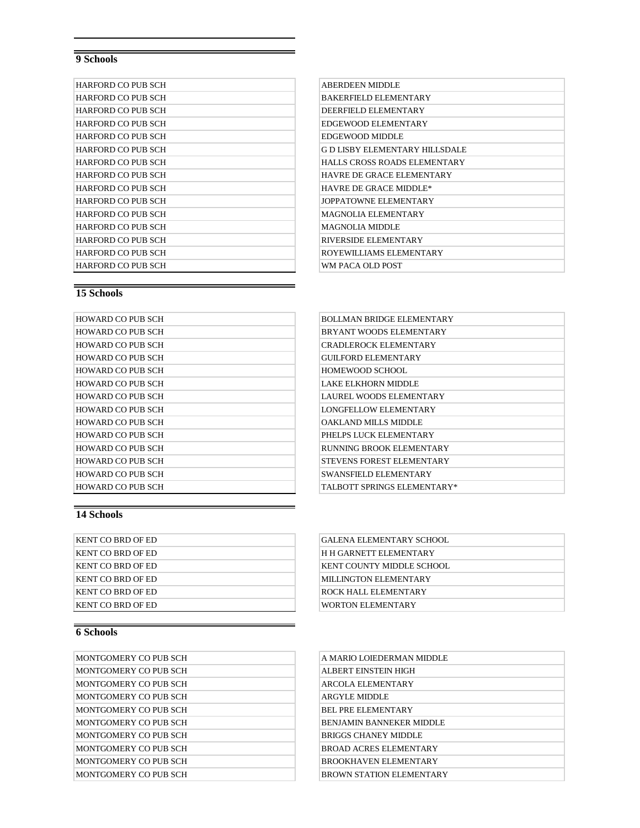| <b>HARFORD CO PUB SCH</b> | <b>ABERDEEN MIDDLE</b>               |
|---------------------------|--------------------------------------|
| <b>HARFORD CO PUB SCH</b> | <b>BAKERFIELD ELEMENTARY</b>         |
| HARFORD CO PUB SCH        | DEERFIELD ELEMENTARY                 |
| HARFORD CO PUB SCH        | EDGEWOOD ELEMENTARY                  |
| HARFORD CO PUB SCH        | EDGEWOOD MIDDLE                      |
| HARFORD CO PUB SCH        | <b>GD LISBY ELEMENTARY HILLSDALE</b> |
| HARFORD CO PUB SCH        | HALLS CROSS ROADS ELEMENTARY         |
| HARFORD CO PUB SCH        | HAVRE DE GRACE ELEMENTARY            |
| HARFORD CO PUB SCH        | <b>HAVRE DE GRACE MIDDLE*</b>        |
| HARFORD CO PUB SCH        | JOPPATOWNE ELEMENTARY                |
| HARFORD CO PUB SCH        | MAGNOLIA ELEMENTARY                  |
| HARFORD CO PUB SCH        | <b>MAGNOLIA MIDDLE</b>               |
| HARFORD CO PUB SCH        | RIVERSIDE ELEMENTARY                 |
| HARFORD CO PUB SCH        | ROYEWILLIAMS ELEMENTARY              |
| HARFORD CO PUB SCH        | WM PACA OLD POST                     |

| <b>ABERDEEN MIDDLE</b>           |
|----------------------------------|
| <b>BAKERFIELD ELEMENTARY</b>     |
| DEERFIELD ELEMENTARY             |
| EDGEWOOD ELEMENTARY              |
| EDGEWOOD MIDDLE                  |
| G D LISBY ELEMENTARY HILLSDALE   |
| HALLS CROSS ROADS ELEMENTARY     |
| <b>HAVRE DE GRACE ELEMENTARY</b> |
| <b>HAVRE DE GRACE MIDDLE*</b>    |
| <b>JOPPATOWNE ELEMENTARY</b>     |
| MAGNOLIA ELEMENTARY              |
| MAGNOLIA MIDDLE                  |
| RIVERSIDE ELEMENTARY             |
| ROYEWILLIAMS ELEMENTARY          |
| WM PACA OLD POST                 |

# **15 Schools**

| <b>HOWARD CO PUB SCH</b> | <b>BOLLMAN BRIDGE ELEMENTARY</b> |
|--------------------------|----------------------------------|
| <b>HOWARD CO PUB SCH</b> | BRYANT WOODS ELEMENTARY          |
| <b>HOWARD CO PUB SCH</b> | <b>CRADLEROCK ELEMENTARY</b>     |
| <b>HOWARD CO PUB SCH</b> | <b>GUILFORD ELEMENTARY</b>       |
| <b>HOWARD CO PUB SCH</b> | HOMEWOOD SCHOOL                  |
| <b>HOWARD CO PUB SCH</b> | LAKE ELKHORN MIDDLE              |
| <b>HOWARD CO PUB SCH</b> | LAUREL WOODS ELEMENTARY          |
| <b>HOWARD CO PUB SCH</b> | LONGFELLOW ELEMENTARY            |
| <b>HOWARD CO PUB SCH</b> | OAKLAND MILLS MIDDLE             |
| <b>HOWARD CO PUB SCH</b> | PHELPS LUCK ELEMENTARY           |
| <b>HOWARD CO PUB SCH</b> | RUNNING BROOK ELEMENTARY         |
| <b>HOWARD CO PUB SCH</b> | <b>STEVENS FOREST ELEMENTARY</b> |
| <b>HOWARD CO PUB SCH</b> | <b>SWANSFIELD ELEMENTARY</b>     |
| <b>HOWARD CO PUB SCH</b> | TALBOTT SPRINGS ELEMENTARY*      |

| BOLLMAN BRIDGE ELEMENTARY     |
|-------------------------------|
| BRYANT WOODS ELEMENTARY       |
| <b>CRADI EROCK ELEMENTARY</b> |
| <b>GUILFORD ELEMENTARY</b>    |
| HOMEWOOD SCHOOL               |
| LAKE ELKHORN MIDDLE           |
| LAUREL WOODS ELEMENTARY       |
| LONGFELLOW ELEMENTARY         |
| OAKLAND MILLS MIDDLE          |
| PHELPS LUCK ELEMENTARY        |
| RUNNING BROOK ELEMENTARY      |
| STEVENS FOREST ELEMENTARY     |
| <b>SWANSFIELD ELEMENTARY</b>  |
| TALBOTT SPRINGS ELEMENTARY*   |

## **14 Schools**

| KENT CO BRD OF ED | <b>GALENA ELEMENTARY SCHOOL</b> |
|-------------------|---------------------------------|
| KENT CO BRD OF ED | H H GARNETT ELEMENTARY          |
| KENT CO BRD OF ED | KENT COUNTY MIDDLE SCHOOL       |
| KENT CO BRD OF ED | MILLINGTON ELEMENTARY           |
| KENT CO BRD OF ED | <b>ROCK HALL ELEMENTARY</b>     |
| KENT CO BRD OF ED | <b>WORTON ELEMENTARY</b>        |

| <b>GALENA ELEMENTARY SCHOOL</b>  |
|----------------------------------|
| <b>H H GARNETT ELEMENTARY</b>    |
| <b>KENT COUNTY MIDDLE SCHOOL</b> |
| <b>MILLINGTON ELEMENTARY</b>     |
| ROCK HALL ELEMENTARY             |
| <b>WORTON ELEMENTARY</b>         |
|                                  |

| MONTGOMERY CO PUB SCH | A MARIO LOIEDERMAN MIDDLE       |
|-----------------------|---------------------------------|
| MONTGOMERY CO PUB SCH | ALBERT EINSTEIN HIGH            |
| MONTGOMERY CO PUB SCH | <b>ARCOLA ELEMENTARY</b>        |
| MONTGOMERY CO PUB SCH | ARGYLE MIDDLE                   |
| MONTGOMERY CO PUB SCH | <b>BEL PRE ELEMENTARY</b>       |
| MONTGOMERY CO PUB SCH | <b>BENIAMIN BANNEKER MIDDLE</b> |
| MONTGOMERY CO PUB SCH | <b>BRIGGS CHANEY MIDDLE</b>     |
| MONTGOMERY CO PUB SCH | <b>BROAD ACRES ELEMENTARY</b>   |
| MONTGOMERY CO PUB SCH | <b>BROOKHAVEN ELEMENTARY</b>    |
| MONTGOMERY CO PUB SCH | BROWN STATION ELEMENTARY        |
|                       |                                 |

| A MARIO LOIEDERMAN MIDDLE       |
|---------------------------------|
| ALBERT EINSTEIN HIGH            |
| ARCOLA ELEMENTARY               |
| ARGYLE MIDDLE                   |
| <b>BEL PRE ELEMENTARY</b>       |
| <b>BENJAMIN BANNEKER MIDDLE</b> |
| <b>BRIGGS CHANEY MIDDLE</b>     |
| <b>BROAD ACRES ELEMENTARY</b>   |
| <b>BROOKHAVEN ELEMENTARY</b>    |
| <b>BROWN STATION ELEMENTARY</b> |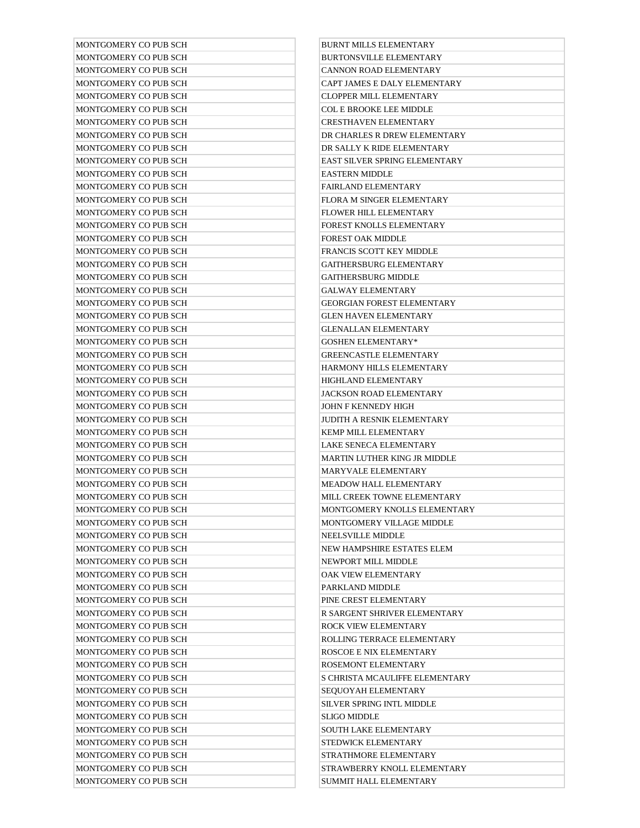| MONTGOMERY CO PUB SCH                          | <b>BURNT MILLS ELEMENTARY</b>                                |
|------------------------------------------------|--------------------------------------------------------------|
| MONTGOMERY CO PUB SCH                          | <b>BURTONSVILLE ELEMENTARY</b>                               |
| MONTGOMERY CO PUB SCH                          | <b>CANNON ROAD ELEMENTARY</b>                                |
| MONTGOMERY CO PUB SCH                          | CAPT JAMES E DALY ELEMENTARY                                 |
| MONTGOMERY CO PUB SCH                          | <b>CLOPPER MILL ELEMENTARY</b>                               |
| MONTGOMERY CO PUB SCH                          | <b>COL E BROOKE LEE MIDDLE</b>                               |
| MONTGOMERY CO PUB SCH                          | <b>CRESTHAVEN ELEMENTARY</b>                                 |
| MONTGOMERY CO PUB SCH                          | DR CHARLES R DREW ELEMENTARY                                 |
| MONTGOMERY CO PUB SCH                          | DR SALLY K RIDE ELEMENTARY                                   |
| MONTGOMERY CO PUB SCH                          | EAST SILVER SPRING ELEMENTARY                                |
| MONTGOMERY CO PUB SCH                          | <b>EASTERN MIDDLE</b>                                        |
| MONTGOMERY CO PUB SCH                          | FAIRLAND ELEMENTARY                                          |
| MONTGOMERY CO PUB SCH                          | FLORA M SINGER ELEMENTARY                                    |
| MONTGOMERY CO PUB SCH                          | FLOWER HILL ELEMENTARY                                       |
| MONTGOMERY CO PUB SCH                          | FOREST KNOLLS ELEMENTARY                                     |
| MONTGOMERY CO PUB SCH                          | FOREST OAK MIDDLE                                            |
| MONTGOMERY CO PUB SCH                          | FRANCIS SCOTT KEY MIDDLE                                     |
| MONTGOMERY CO PUB SCH                          | <b>GAITHERSBURG ELEMENTARY</b>                               |
| MONTGOMERY CO PUB SCH                          | <b>GAITHERSBURG MIDDLE</b>                                   |
| MONTGOMERY CO PUB SCH                          | <b>GALWAY ELEMENTARY</b>                                     |
| MONTGOMERY CO PUB SCH                          | <b>GEORGIAN FOREST ELEMENTARY</b>                            |
| MONTGOMERY CO PUB SCH                          | <b>GLEN HAVEN ELEMENTARY</b>                                 |
| MONTGOMERY CO PUB SCH                          | <b>GLENALLAN ELEMENTARY</b>                                  |
| MONTGOMERY CO PUB SCH                          | <b>GOSHEN ELEMENTARY*</b>                                    |
| MONTGOMERY CO PUB SCH                          | <b>GREENCASTLE ELEMENTARY</b>                                |
| MONTGOMERY CO PUB SCH                          | HARMONY HILLS ELEMENTARY                                     |
| MONTGOMERY CO PUB SCH                          | HIGHLAND ELEMENTARY                                          |
| MONTGOMERY CO PUB SCH                          | JACKSON ROAD ELEMENTARY                                      |
| MONTGOMERY CO PUB SCH                          | JOHN F KENNEDY HIGH                                          |
| MONTGOMERY CO PUB SCH                          | JUDITH A RESNIK ELEMENTARY                                   |
| MONTGOMERY CO PUB SCH                          | <b>KEMP MILL ELEMENTARY</b>                                  |
| MONTGOMERY CO PUB SCH                          | LAKE SENECA ELEMENTARY                                       |
| MONTGOMERY CO PUB SCH                          | MARTIN LUTHER KING JR MIDDLE                                 |
| MONTGOMERY CO PUB SCH                          | <b>MARYVALE ELEMENTARY</b>                                   |
| MONTGOMERY CO PUB SCH                          | <b>MEADOW HALL ELEMENTARY</b>                                |
| MONTGOMERY CO PUB SCH                          | MILL CREEK TOWNE ELEMENTARY                                  |
| MONTGOMERY CO PUB SCH                          | MONTGOMERY KNOLLS ELEMENTARY                                 |
| MONTGOMERY CO PUB SCH                          | MONTGOMERY VILLAGE MIDDLE                                    |
| MONTGOMERY CO PUB SCH                          | NEELSVILLE MIDDLE                                            |
| MONTGOMERY CO PUB SCH                          | NEW HAMPSHIRE ESTATES ELEM                                   |
| MONTGOMERY CO PUB SCH                          | <b>NEWPORT MILL MIDDLE</b>                                   |
| MONTGOMERY CO PUB SCH                          | OAK VIEW ELEMENTARY                                          |
| MONTGOMERY CO PUB SCH                          | PARKLAND MIDDLE                                              |
| MONTGOMERY CO PUB SCH<br>MONTGOMERY CO PUB SCH | PINE CREST ELEMENTARY<br>R SARGENT SHRIVER ELEMENTARY        |
|                                                |                                                              |
| MONTGOMERY CO PUB SCH                          | ROCK VIEW ELEMENTARY                                         |
| MONTGOMERY CO PUB SCH                          | ROLLING TERRACE ELEMENTARY                                   |
| MONTGOMERY CO PUB SCH                          | ROSCOE E NIX ELEMENTARY                                      |
| MONTGOMERY CO PUB SCH<br>MONTGOMERY CO PUB SCH | ROSEMONT ELEMENTARY                                          |
| MONTGOMERY CO PUB SCH                          | S CHRISTA MCAULIFFE ELEMENTARY<br><b>SEOUOYAH ELEMENTARY</b> |
| MONTGOMERY CO PUB SCH                          | SILVER SPRING INTL MIDDLE                                    |
| MONTGOMERY CO PUB SCH                          | <b>SLIGO MIDDLE</b>                                          |
| MONTGOMERY CO PUB SCH                          | <b>SOUTH LAKE ELEMENTARY</b>                                 |
| MONTGOMERY CO PUB SCH                          | STEDWICK ELEMENTARY                                          |
| MONTGOMERY CO PUB SCH                          | STRATHMORE ELEMENTARY                                        |
| MONTGOMERY CO PUB SCH                          | STRAWBERRY KNOLL ELEMENTARY                                  |
| MONTGOMERY CO PUB SCH                          | <b>SUMMIT HALL ELEMENTARY</b>                                |
|                                                |                                                              |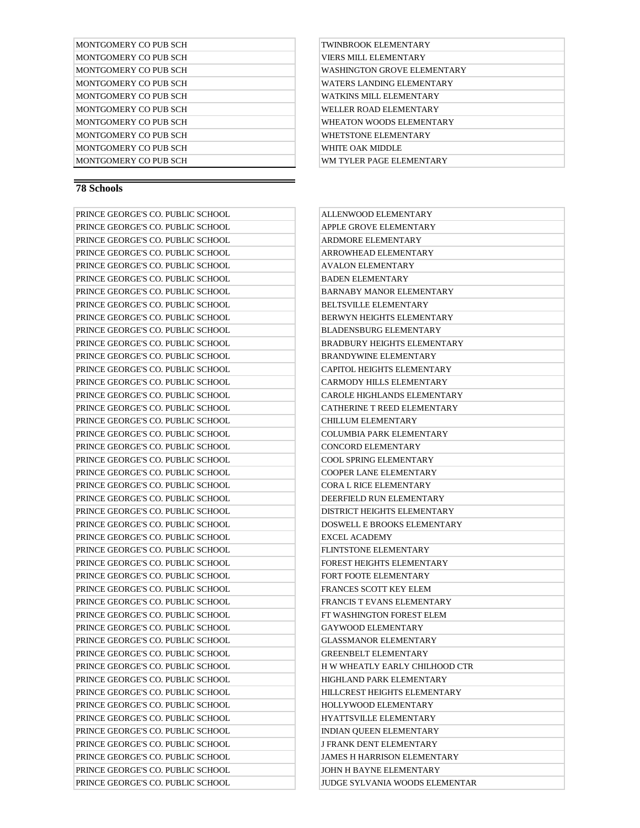| MONTGOMERY CO PUB SCH |
|-----------------------|
| MONTGOMERY CO PUR SCH |
| MONTGOMERY CO PUR SCH |
| MONTGOMERY CO PUR SCH |
| MONTGOMERY CO PUR SCH |
| MONTGOMERY CO PUR SCH |
| MONTGOMERY CO PUB SCH |
| MONTGOMERY CO PUR SCH |
| MONTGOMERY CO PUR SCH |
| MONTGOMERY CO PUB SCH |

### TWINBROOK ELEMENTARY VIERS MILL ELEMENTARY WASHINGTON GROVE ELEMENTARY WATERS LANDING ELEMENTARY WATKINS MILL ELEMENTARY WELLER ROAD ELEMENTARY WHEATON WOODS ELEMENTARY WHETSTONE ELEMENTARY WHITE OAK MIDDLE WM TYLER PAGE ELEMENTARY

| PRINCE GEORGE'S CO. PUBLIC SCHOOL | ALLENWOOD ELEMENTARY               |
|-----------------------------------|------------------------------------|
| PRINCE GEORGE'S CO. PUBLIC SCHOOL | APPLE GROVE ELEMENTARY             |
| PRINCE GEORGE'S CO. PUBLIC SCHOOL | ARDMORE ELEMENTARY                 |
| PRINCE GEORGE'S CO. PUBLIC SCHOOL | ARROWHEAD ELEMENTARY               |
| PRINCE GEORGE'S CO. PUBLIC SCHOOL | <b>AVALON ELEMENTARY</b>           |
| PRINCE GEORGE'S CO. PUBLIC SCHOOL | <b>BADEN ELEMENTARY</b>            |
| PRINCE GEORGE'S CO. PUBLIC SCHOOL | BARNABY MANOR ELEMENTARY           |
| PRINCE GEORGE'S CO. PUBLIC SCHOOL | BELTSVILLE ELEMENTARY              |
| PRINCE GEORGE'S CO. PUBLIC SCHOOL | <b>BERWYN HEIGHTS ELEMENTARY</b>   |
| PRINCE GEORGE'S CO. PUBLIC SCHOOL | BLADENSBURG ELEMENTARY             |
| PRINCE GEORGE'S CO. PUBLIC SCHOOL | <b>BRADBURY HEIGHTS ELEMENTARY</b> |
| PRINCE GEORGE'S CO. PUBLIC SCHOOL | <b>BRANDYWINE ELEMENTARY</b>       |
| PRINCE GEORGE'S CO. PUBLIC SCHOOL | CAPITOL HEIGHTS ELEMENTARY         |
| PRINCE GEORGE'S CO. PUBLIC SCHOOL | CARMODY HILLS ELEMENTARY           |
| PRINCE GEORGE'S CO. PUBLIC SCHOOL | <b>CAROLE HIGHLANDS ELEMENTARY</b> |
| PRINCE GEORGE'S CO. PUBLIC SCHOOL | CATHERINE T REED ELEMENTARY        |
| PRINCE GEORGE'S CO. PUBLIC SCHOOL | CHILLUM ELEMENTARY                 |
| PRINCE GEORGE'S CO. PUBLIC SCHOOL | <b>COLUMBIA PARK ELEMENTARY</b>    |
| PRINCE GEORGE'S CO. PUBLIC SCHOOL | <b>CONCORD ELEMENTARY</b>          |
| PRINCE GEORGE'S CO. PUBLIC SCHOOL | <b>COOL SPRING ELEMENTARY</b>      |
| PRINCE GEORGE'S CO. PUBLIC SCHOOL | <b>COOPER LANE ELEMENTARY</b>      |
| PRINCE GEORGE'S CO. PUBLIC SCHOOL | <b>CORA L RICE ELEMENTARY</b>      |
| PRINCE GEORGE'S CO. PUBLIC SCHOOL | DEERFIELD RUN ELEMENTARY           |
| PRINCE GEORGE'S CO. PUBLIC SCHOOL | DISTRICT HEIGHTS ELEMENTARY        |
| PRINCE GEORGE'S CO. PUBLIC SCHOOL | <b>DOSWELL E BROOKS ELEMENTARY</b> |
| PRINCE GEORGE'S CO. PUBLIC SCHOOL | <b>EXCEL ACADEMY</b>               |
| PRINCE GEORGE'S CO. PUBLIC SCHOOL | <b>FLINTSTONE ELEMENTARY</b>       |
| PRINCE GEORGE'S CO. PUBLIC SCHOOL | FOREST HEIGHTS ELEMENTARY          |
| PRINCE GEORGE'S CO. PUBLIC SCHOOL | FORT FOOTE ELEMENTARY              |
| PRINCE GEORGE'S CO. PUBLIC SCHOOL | FRANCES SCOTT KEY ELEM             |
| PRINCE GEORGE'S CO. PUBLIC SCHOOL | FRANCIS T EVANS ELEMENTARY         |
| PRINCE GEORGE'S CO. PUBLIC SCHOOL | FT WASHINGTON FOREST ELEM          |
| PRINCE GEORGE'S CO. PUBLIC SCHOOL | <b>GAYWOOD ELEMENTARY</b>          |
| PRINCE GEORGE'S CO. PUBLIC SCHOOL | <b>GLASSMANOR ELEMENTARY</b>       |
| PRINCE GEORGE'S CO. PUBLIC SCHOOL | <b>GREENBELT ELEMENTARY</b>        |
| PRINCE GEORGE'S CO. PUBLIC SCHOOL | H W WHEATLY EARLY CHILHOOD CTR     |
| PRINCE GEORGE'S CO. PUBLIC SCHOOL | HIGHLAND PARK ELEMENTARY           |
| PRINCE GEORGE'S CO. PUBLIC SCHOOL | HILLCREST HEIGHTS ELEMENTARY       |
| PRINCE GEORGE'S CO. PUBLIC SCHOOL | HOLLYWOOD ELEMENTARY               |
| PRINCE GEORGE'S CO. PUBLIC SCHOOL | HYATTSVILLE ELEMENTARY             |
| PRINCE GEORGE'S CO. PUBLIC SCHOOL | INDIAN QUEEN ELEMENTARY            |
| PRINCE GEORGE'S CO. PUBLIC SCHOOL | <b>J FRANK DENT ELEMENTARY</b>     |
| PRINCE GEORGE'S CO. PUBLIC SCHOOL | <b>JAMES H HARRISON ELEMENTARY</b> |
| PRINCE GEORGE'S CO. PUBLIC SCHOOL | JOHN H BAYNE ELEMENTARY            |
| PRINCE GEORGE'S CO. PUBLIC SCHOOL | JUDGE SYLVANIA WOODS ELEMENTAI     |

| ALLENWOOD ELEMENTARY               |
|------------------------------------|
| APPLE GROVE ELEMENTARY             |
| ARDMORE ELEMENTARY                 |
| ARROWHEAD ELEMENTARY               |
| AVALON ELEMENTARY                  |
| <b>BADEN ELEMENTARY</b>            |
| <b>BARNABY MANOR ELEMENTARY</b>    |
| <b>BELTSVILLE ELEMENTARY</b>       |
| <b>BERWYN HEIGHTS ELEMENTARY</b>   |
| <b>BLADENSBURG ELEMENTARY</b>      |
| <b>BRADBURY HEIGHTS ELEMENTARY</b> |
| <b>BRANDYWINE ELEMENTARY</b>       |
| <b>CAPITOL HEIGHTS ELEMENTARY</b>  |
| <b>CARMODY HILLS ELEMENTARY</b>    |
| CAROLE HIGHLANDS ELEMENTARY        |
| CATHERINE T REED ELEMENTARY        |
| <b>CHILLUM ELEMENTARY</b>          |
| <b>COLUMBIA PARK ELEMENTARY</b>    |
| <b>CONCORD ELEMENTARY</b>          |
| <b>COOL SPRING ELEMENTARY</b>      |
| <b>COOPER LANE ELEMENTARY</b>      |
| <b>CORA L RICE ELEMENTARY</b>      |
| DEERFIELD RUN ELEMENTARY           |
| DISTRICT HEIGHTS ELEMENTARY        |
| DOSWELL E BROOKS ELEMENTARY        |
| <b>EXCEL ACADEMY</b>               |
| <b>FLINTSTONE ELEMENTARY</b>       |
| FOREST HEIGHTS ELEMENTARY          |
| FORT FOOTE ELEMENTARY              |
| FRANCES SCOTT KEY ELEM             |
| FRANCIS T EVANS ELEMENTARY         |
| FT WASHINGTON FOREST ELEM          |
| GAYWOOD ELEMENTARY                 |
| GLASSMANOR ELEMENTARY              |
| GREENBELT ELEMENTARY               |
| H W WHEATLY EARLY CHILHOOD CTR     |
| HIGHLAND PARK ELEMENTARY           |
| HILLCREST HEIGHTS ELEMENTARY       |
| HOLLYWOOD ELEMENTARY               |
| <b>HYATTSVILLE ELEMENTARY</b>      |
| INDIAN QUEEN ELEMENTARY            |
| J FRANK DENT ELEMENTARY            |
| <b>JAMES H HARRISON ELEMENTARY</b> |
| JOHN H BAYNE ELEMENTARY            |
| JUDGE SYLVANIA WOODS ELEMENTAR     |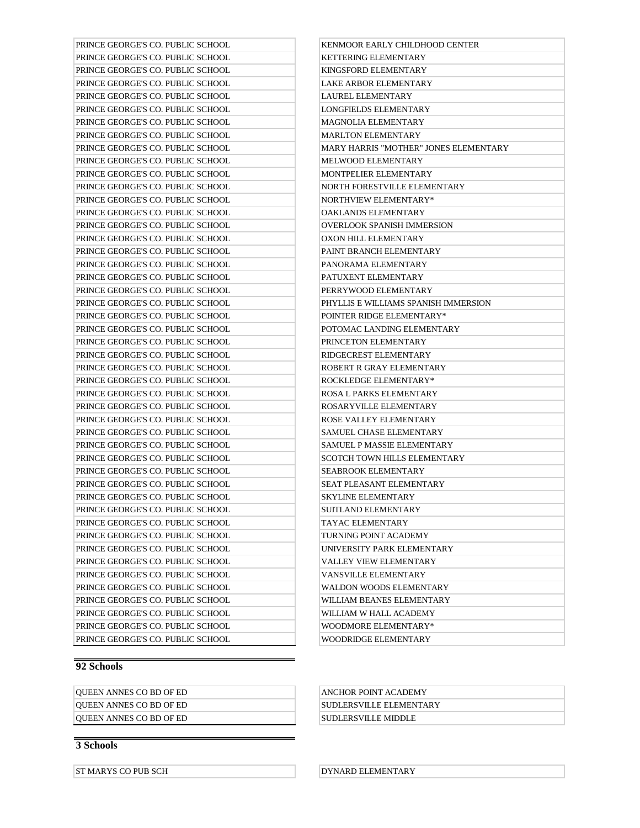| PRINCE GEORGE'S CO. PUBLIC SCHOOL | KENMOOR EARLY CHILDHOOD CENTER               |
|-----------------------------------|----------------------------------------------|
| PRINCE GEORGE'S CO. PUBLIC SCHOOL | KETTERING ELEMENTARY                         |
| PRINCE GEORGE'S CO. PUBLIC SCHOOL | KINGSFORD ELEMENTARY                         |
| PRINCE GEORGE'S CO. PUBLIC SCHOOL | LAKE ARBOR ELEMENTARY                        |
| PRINCE GEORGE'S CO. PUBLIC SCHOOL | LAUREL ELEMENTARY                            |
| PRINCE GEORGE'S CO. PUBLIC SCHOOL | <b>LONGFIELDS ELEMENTARY</b>                 |
| PRINCE GEORGE'S CO. PUBLIC SCHOOL | <b>MAGNOLIA ELEMENTARY</b>                   |
| PRINCE GEORGE'S CO. PUBLIC SCHOOL | <b>MARLTON ELEMENTARY</b>                    |
| PRINCE GEORGE'S CO. PUBLIC SCHOOL | <b>MARY HARRIS "MOTHER" JONES ELEMENTARY</b> |
| PRINCE GEORGE'S CO. PUBLIC SCHOOL | MELWOOD ELEMENTARY                           |
| PRINCE GEORGE'S CO. PUBLIC SCHOOL | MONTPELIER ELEMENTARY                        |
| PRINCE GEORGE'S CO. PUBLIC SCHOOL | NORTH FORESTVILLE ELEMENTARY                 |
| PRINCE GEORGE'S CO. PUBLIC SCHOOL | NORTHVIEW ELEMENTARY*                        |
| PRINCE GEORGE'S CO. PUBLIC SCHOOL | OAKLANDS ELEMENTARY                          |
| PRINCE GEORGE'S CO. PUBLIC SCHOOL | <b>OVERLOOK SPANISH IMMERSION</b>            |
| PRINCE GEORGE'S CO. PUBLIC SCHOOL | OXON HILL ELEMENTARY                         |
| PRINCE GEORGE'S CO. PUBLIC SCHOOL | PAINT BRANCH ELEMENTARY                      |
| PRINCE GEORGE'S CO. PUBLIC SCHOOL | PANORAMA ELEMENTARY                          |
| PRINCE GEORGE'S CO. PUBLIC SCHOOL | PATUXENT ELEMENTARY                          |
| PRINCE GEORGE'S CO. PUBLIC SCHOOL | PERRYWOOD ELEMENTARY                         |
| PRINCE GEORGE'S CO. PUBLIC SCHOOL | PHYLLIS E WILLIAMS SPANISH IMMERSION         |
| PRINCE GEORGE'S CO. PUBLIC SCHOOL | POINTER RIDGE ELEMENTARY*                    |
| PRINCE GEORGE'S CO. PUBLIC SCHOOL | POTOMAC LANDING ELEMENTARY                   |
| PRINCE GEORGE'S CO. PUBLIC SCHOOL | PRINCETON ELEMENTARY                         |
| PRINCE GEORGE'S CO. PUBLIC SCHOOL | RIDGECREST ELEMENTARY                        |
| PRINCE GEORGE'S CO. PUBLIC SCHOOL | ROBERT R GRAY ELEMENTARY                     |
| PRINCE GEORGE'S CO. PUBLIC SCHOOL | ROCKLEDGE ELEMENTARY*                        |
| PRINCE GEORGE'S CO. PUBLIC SCHOOL | ROSA L PARKS ELEMENTARY                      |
| PRINCE GEORGE'S CO. PUBLIC SCHOOL | ROSARYVILLE ELEMENTARY                       |
| PRINCE GEORGE'S CO. PUBLIC SCHOOL | ROSE VALLEY ELEMENTARY                       |
| PRINCE GEORGE'S CO. PUBLIC SCHOOL | SAMUEL CHASE ELEMENTARY                      |
| PRINCE GEORGE'S CO. PUBLIC SCHOOL | SAMUEL P MASSIE ELEMENTARY                   |
| PRINCE GEORGE'S CO. PUBLIC SCHOOL | <b>SCOTCH TOWN HILLS ELEMENTARY</b>          |
| PRINCE GEORGE'S CO. PUBLIC SCHOOL | <b>SEABROOK ELEMENTARY</b>                   |
| PRINCE GEORGE'S CO. PUBLIC SCHOOL | <b>SEAT PLEASANT ELEMENTARY</b>              |
| PRINCE GEORGE'S CO. PUBLIC SCHOOL | <b>SKYLINE ELEMENTARY</b>                    |
| PRINCE GEORGE'S CO. PUBLIC SCHOOL | SUITLAND ELEMENTARY                          |
| PRINCE GEORGE'S CO. PUBLIC SCHOOL | TAYAC ELEMENTARY                             |
| PRINCE GEORGE'S CO. PUBLIC SCHOOL | TURNING POINT ACADEMY                        |
| PRINCE GEORGE'S CO. PUBLIC SCHOOL | UNIVERSITY PARK ELEMENTARY                   |
| PRINCE GEORGE'S CO. PUBLIC SCHOOL | VALLEY VIEW ELEMENTARY                       |
| PRINCE GEORGE'S CO. PUBLIC SCHOOL | VANSVILLE ELEMENTARY                         |
| PRINCE GEORGE'S CO. PUBLIC SCHOOL | WALDON WOODS ELEMENTARY                      |
| PRINCE GEORGE'S CO. PUBLIC SCHOOL | WILLIAM BEANES ELEMENTARY                    |
| PRINCE GEORGE'S CO. PUBLIC SCHOOL | WILLIAM W HALL ACADEMY                       |
| PRINCE GEORGE'S CO. PUBLIC SCHOOL | WOODMORE ELEMENTARY*                         |
| PRINCE GEORGE'S CO. PUBLIC SCHOOL | WOODRIDGE ELEMENTARY                         |
|                                   |                                              |

| <b>OUEEN ANNES CO BD OF ED</b> | ANCHOR POINT ACADEMY            |
|--------------------------------|---------------------------------|
| <b>OUEEN ANNES CO BD OF ED</b> | <b>ISUDLERSVILLE ELEMENTARY</b> |
| <b>OUEEN ANNES CO BD OF ED</b> | SUDLERSVILLE MIDDLE             |

## **3 Schools**

ST MARYS CO PUB SCH DYNARD ELEMENTARY

| KENMOOR EARLY CHILDHOOD CENTER               |
|----------------------------------------------|
| <b>KETTERING ELEMENTARY</b>                  |
| KINGSFORD ELEMENTARY                         |
| <b>LAKE ARBOR ELEMENTARY</b>                 |
| <b>LAUREL ELEMENTARY</b>                     |
| <b>LONGFIELDS ELEMENTARY</b>                 |
| <b>MAGNOLIA ELEMENTARY</b>                   |
| <b>MARLTON ELEMENTARY</b>                    |
| <b>MARY HARRIS "MOTHER" JONES ELEMENTARY</b> |
| <b>MELWOOD ELEMENTARY</b>                    |
| MONTPELIER ELEMENTARY                        |
| NORTH FORESTVILLE ELEMENTARY                 |
| NORTHVIEW ELEMENTARY*                        |
| <b>OAKLANDS ELEMENTARY</b>                   |
| OVERLOOK SPANISH IMMERSION                   |
| <b>OXON HILL ELEMENTARY</b>                  |
| PAINT BRANCH ELEMENTARY                      |
| PANORAMA ELEMENTARY                          |
| PATUXENT ELEMENTARY                          |
| PERRYWOOD ELEMENTARY                         |
| PHYLLIS E WILLIAMS SPANISH IMMERSION         |
| POINTER RIDGE ELEMENTARY*                    |
| POTOMAC LANDING ELEMENTARY                   |
| PRINCETON ELEMENTARY                         |
| RIDGECREST ELEMENTARY                        |
| ROBERT R GRAY ELEMENTARY                     |
| <b>ROCKLEDGE ELEMENTARY*</b>                 |
| ROSA L PARKS ELEMENTARY                      |
| ROSARYVILLE ELEMENTARY                       |
| ROSE VALLEY ELEMENTARY                       |
| <b>SAMUEL CHASE ELEMENTARY</b>               |
| <b>SAMUEL P MASSIE ELEMENTARY</b>            |
| <b>SCOTCH TOWN HILLS ELEMENTARY</b>          |
| SEABROOK ELEMENTARY                          |
| <b>SEAT PLEASANT ELEMENTARY</b>              |
| <b>SKYLINE ELEMENTARY</b>                    |
| SUITLAND ELEMENTARY                          |
| TAYAC ELEMENTARY                             |
| TURNING POINT ACADEMY                        |
| UNIVERSITY PARK ELEMENTARY                   |
| <b>VALLEY VIEW ELEMENTARY</b>                |
| <b>VANSVILLE ELEMENTARY</b>                  |
| <b>WALDON WOODS ELEMENTARY</b>               |
| WILLIAM BEANES ELEMENTARY                    |
| WILLIAM W HALL ACADEMY                       |
| WOODMORE ELEMENTARY*                         |
| WOODRIDGE ELEMENTARY                         |
|                                              |

| ANCHOR POINT ACADEMY     |
|--------------------------|
| 'SUDLERSVILLE ELEMENTARY |
| SUDLERSVILLE MIDDLE      |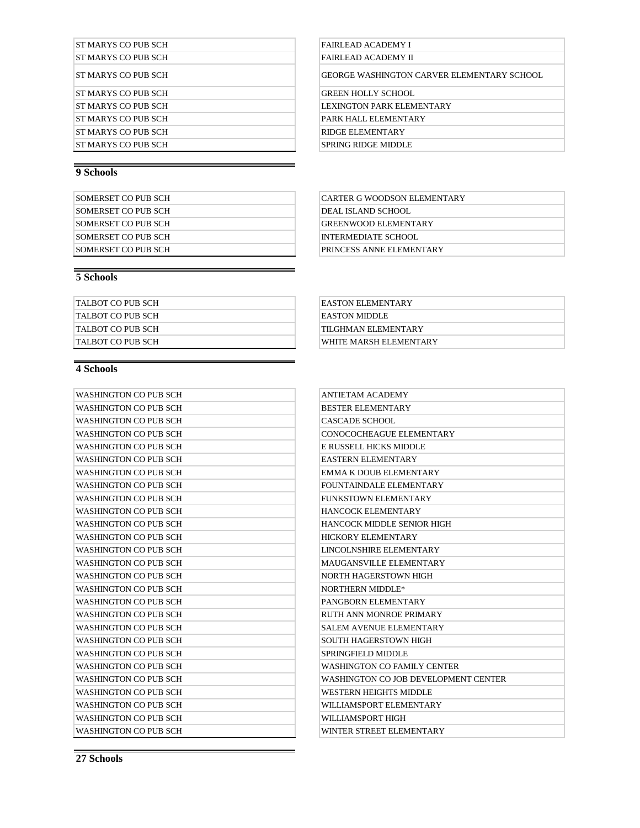| ST MARYS CO PUR SCH  |
|----------------------|
| ST MARYS CO PUB SCH  |
| ST MARYS CO PUR SCH  |
| IST MARYS CO PUB SCH |
| ST MARYS CO PUB SCH  |
| IST MARYS CO PUB SCH |
| ST MARYS CO PUR SCH  |
| ST MARYS CO PUB SCH  |
|                      |

| SOMERSET CO PUB SCH | CARTER G WOODSON ELEMENTARY |
|---------------------|-----------------------------|
| SOMERSET CO PUB SCH | DEAL ISLAND SCHOOL          |
| SOMERSET CO PUB SCH | <b>GREENWOOD ELEMENTARY</b> |
| SOMERSET CO PUB SCH | INTERMEDIATE SCHOOL         |
| SOMERSET CO PUB SCH | PRINCESS ANNE ELEMENTARY    |

## **5 Schools**

| TALBOT CO PUB SCH | EASTON ELEMENTARY      |
|-------------------|------------------------|
| TALBOT CO PUB SCH | EASTON MIDDLE          |
| TALBOT CO PUB SCH | TILGHMAN ELEMENTARY    |
| TALBOT CO PUB SCH | WHITE MARSH ELEMENTARY |

## **4 Schools**

| <b>WASHINGTON CO PUB SCH</b> | <b>ANTIETAM ACADEMY</b>              |
|------------------------------|--------------------------------------|
| WASHINGTON CO PUB SCH        | <b>BESTER ELEMENTARY</b>             |
| WASHINGTON CO PUB SCH        | CASCADE SCHOOL                       |
| WASHINGTON CO PUB SCH        | CONOCOCHEAGUE ELEMENTARY             |
| WASHINGTON CO PUB SCH        | E RUSSELL HICKS MIDDLE               |
| WASHINGTON CO PUB SCH        | <b>EASTERN ELEMENTARY</b>            |
| <b>WASHINGTON CO PUB SCH</b> | <b>EMMA K DOUB ELEMENTARY</b>        |
| <b>WASHINGTON CO PUB SCH</b> | FOUNTAINDALE ELEMENTARY              |
| WASHINGTON CO PUB SCH        | FUNKSTOWN ELEMENTARY                 |
| <b>WASHINGTON CO PUB SCH</b> | <b>HANCOCK ELEMENTARY</b>            |
| <b>WASHINGTON CO PUB SCH</b> | HANCOCK MIDDLE SENIOR HIGH           |
| <b>WASHINGTON CO PUB SCH</b> | <b>HICKORY ELEMENTARY</b>            |
| WASHINGTON CO PUB SCH        | LINCOLNSHIRE ELEMENTARY              |
| <b>WASHINGTON CO PUB SCH</b> | MAUGANSVILLE ELEMENTARY              |
| WASHINGTON CO PUB SCH        | NORTH HAGERSTOWN HIGH                |
| WASHINGTON CO PUB SCH        | NORTHERN MIDDLE*                     |
| WASHINGTON CO PUB SCH        | PANGBORN ELEMENTARY                  |
| WASHINGTON CO PUB SCH        | RUTH ANN MONROE PRIMARY              |
| <b>WASHINGTON CO PUB SCH</b> | <b>SALEM AVENUE ELEMENTARY</b>       |
| WASHINGTON CO PUB SCH        | SOUTH HAGERSTOWN HIGH                |
| WASHINGTON CO PUB SCH        | SPRINGFIELD MIDDLE                   |
| <b>WASHINGTON CO PUB SCH</b> | <b>WASHINGTON CO FAMILY CENTER</b>   |
| WASHINGTON CO PUB SCH        | WASHINGTON CO JOB DEVELOPMENT CENTER |
| WASHINGTON CO PUB SCH        | WESTERN HEIGHTS MIDDLE               |
| <b>WASHINGTON CO PUB SCH</b> | WILLIAMSPORT ELEMENTARY              |
| WASHINGTON CO PUB SCH        | WILLIAMSPORT HIGH                    |
| <b>WASHINGTON CO PUB SCH</b> | WINTER STREET ELEMENTARY             |

FAIRLEAD ACADEMY I FAIRLEAD ACADEMY II

GEORGE WASHINGTON CARVER ELEMENTARY SCHOOL

GREEN HOLLY SCHOOL

LEXINGTON PARK ELEMENTARY

PARK HALL ELEMENTARY

RIDGE ELEMENTARY

SPRING RIDGE MIDDLE

| CARTER G WOODSON ELEMENTARY |
|-----------------------------|
| DEAL ISLAND SCHOOL          |
| <b>GREENWOOD ELEMENTARY</b> |
| <b>INTERMEDIATE SCHOOL</b>  |
| PRINCESS ANNE ELEMENTARY    |

| EASTON ELEMENTARY      |
|------------------------|
| EASTON MIDDLE          |
| ITII GHMAN EI EMENTARY |
| WHITE MARSH ELEMENTARY |

| <b>ANTIETAM ACADEMY</b>              |
|--------------------------------------|
| <b>BESTER ELEMENTARY</b>             |
| CASCADE SCHOOL                       |
| CONOCOCHEAGUE ELEMENTARY             |
| E RUSSELL HICKS MIDDLE               |
| <b>EASTERN ELEMENTARY</b>            |
| EMMA K DOUB ELEMENTARY               |
| FOUNTAINDALE ELEMENTARY              |
| FUNKSTOWN ELEMENTARY                 |
| HANCOCK ELEMENTARY                   |
| HANCOCK MIDDLE SENIOR HIGH           |
| <b>HICKORY ELEMENTARY</b>            |
| LINCOLNSHIRE ELEMENTARY              |
| MAUGANSVILLE ELEMENTARY              |
| NORTH HAGERSTOWN HIGH                |
| NORTHERN MIDDLE*                     |
| PANGBORN ELEMENTARY                  |
| RUTH ANN MONROE PRIMARY              |
| <b>SALEM AVENUE ELEMENTARY</b>       |
| SOUTH HAGERSTOWN HIGH                |
| <b>SPRINGFIELD MIDDLE</b>            |
| <b>WASHINGTON CO FAMILY CENTER</b>   |
| WASHINGTON CO JOB DEVELOPMENT CENTER |
| WESTERN HEIGHTS MIDDLE               |
| WILLIAMSPORT ELEMENTARY              |
| WILLIAMSPORT HIGH                    |
| WINTER STREET ELEMENTARY             |